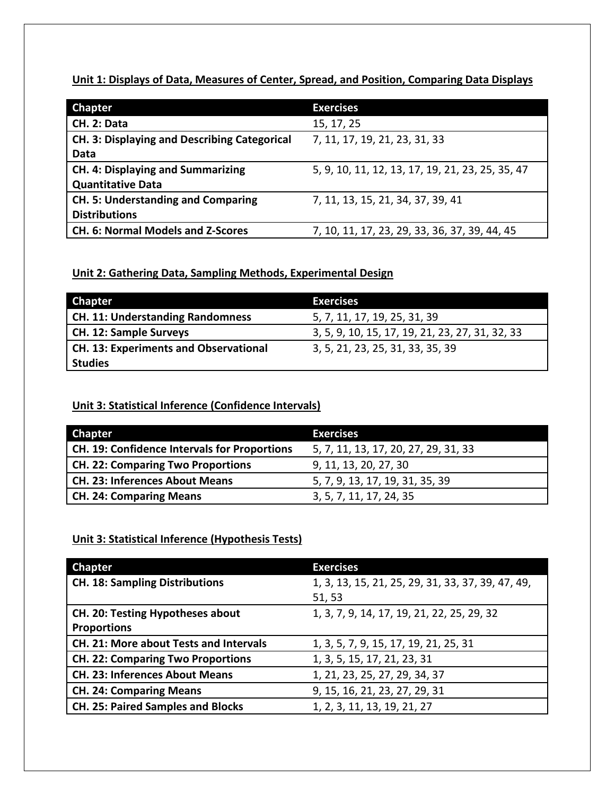**Unit 1: Displays of Data, Measures of Center, Spread, and Position, Comparing Data Displays**

| <b>Chapter</b>                                      | <b>Exercises</b>                                 |
|-----------------------------------------------------|--------------------------------------------------|
| CH. 2: Data                                         | 15, 17, 25                                       |
| <b>CH. 3: Displaying and Describing Categorical</b> | 7, 11, 17, 19, 21, 23, 31, 33                    |
| Data                                                |                                                  |
| <b>CH. 4: Displaying and Summarizing</b>            | 5, 9, 10, 11, 12, 13, 17, 19, 21, 23, 25, 35, 47 |
| <b>Quantitative Data</b>                            |                                                  |
| <b>CH. 5: Understanding and Comparing</b>           | 7, 11, 13, 15, 21, 34, 37, 39, 41                |
| <b>Distributions</b>                                |                                                  |
| <b>CH. 6: Normal Models and Z-Scores</b>            | 7, 10, 11, 17, 23, 29, 33, 36, 37, 39, 44, 45    |

### **Unit 2: Gathering Data, Sampling Methods, Experimental Design**

| <b>Chapter</b>                        | <b>Exercises</b>                                |
|---------------------------------------|-------------------------------------------------|
| CH. 11: Understanding Randomness      | 5, 7, 11, 17, 19, 25, 31, 39                    |
| CH. 12: Sample Surveys                | 3, 5, 9, 10, 15, 17, 19, 21, 23, 27, 31, 32, 33 |
| CH. 13: Experiments and Observational | 3, 5, 21, 23, 25, 31, 33, 35, 39                |
| <b>Studies</b>                        |                                                 |

## **Unit 3: Statistical Inference (Confidence Intervals)**

| <b>Chapter</b>                                      | <b>Exercises</b>                     |
|-----------------------------------------------------|--------------------------------------|
| <b>CH. 19: Confidence Intervals for Proportions</b> | 5, 7, 11, 13, 17, 20, 27, 29, 31, 33 |
| <b>CH. 22: Comparing Two Proportions</b>            | 9, 11, 13, 20, 27, 30                |
| <b>CH. 23: Inferences About Means</b>               | 5, 7, 9, 13, 17, 19, 31, 35, 39      |
| <b>CH. 24: Comparing Means</b>                      | 3, 5, 7, 11, 17, 24, 35              |

#### **Unit 3: Statistical Inference (Hypothesis Tests)**

| <b>Chapter</b>                           | <b>Exercises</b>                                  |
|------------------------------------------|---------------------------------------------------|
|                                          |                                                   |
| <b>CH. 18: Sampling Distributions</b>    | 1, 3, 13, 15, 21, 25, 29, 31, 33, 37, 39, 47, 49, |
|                                          | 51, 53                                            |
| CH. 20: Testing Hypotheses about         | 1, 3, 7, 9, 14, 17, 19, 21, 22, 25, 29, 32        |
| <b>Proportions</b>                       |                                                   |
| CH. 21: More about Tests and Intervals   | 1, 3, 5, 7, 9, 15, 17, 19, 21, 25, 31             |
| <b>CH. 22: Comparing Two Proportions</b> | 1, 3, 5, 15, 17, 21, 23, 31                       |
| <b>CH. 23: Inferences About Means</b>    | 1, 21, 23, 25, 27, 29, 34, 37                     |
| <b>CH. 24: Comparing Means</b>           | 9, 15, 16, 21, 23, 27, 29, 31                     |
| <b>CH. 25: Paired Samples and Blocks</b> | 1, 2, 3, 11, 13, 19, 21, 27                       |